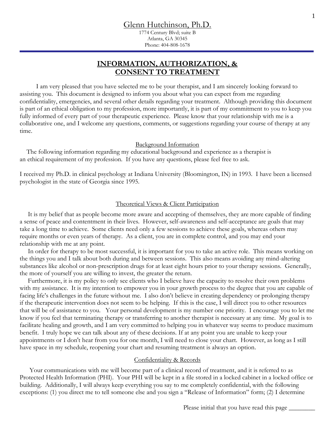1774 Century Blvd; suite B Atlanta, GA 30345 Phone: 404-808-1678

# **INFORMATION, AUTHORIZATION, & CONSENT TO TREATMENT**

 I am very pleased that you have selected me to be your therapist, and I am sincerely looking forward to assisting you. This document is designed to inform you about what you can expect from me regarding confidentiality, emergencies, and several other details regarding your treatment. Although providing this document is part of an ethical obligation to my profession, more importantly, it is part of my commitment to you to keep you fully informed of every part of your therapeutic experience. Please know that your relationship with me is a collaborative one, and I welcome any questions, comments, or suggestions regarding your course of therapy at any time.

## Background Information

 The following information regarding my educational background and experience as a therapist is an ethical requirement of my profession. If you have any questions, please feel free to ask.

I received my Ph.D. in clinical psychology at Indiana University (Bloomington, IN) in 1993. I have been a licensed psychologist in the state of Georgia since 1995.

## Theoretical Views & Client Participation

 It is my belief that as people become more aware and accepting of themselves, they are more capable of finding a sense of peace and contentment in their lives. However, self-awareness and self-acceptance are goals that may take a long time to achieve. Some clients need only a few sessions to achieve these goals, whereas others may require months or even years of therapy. As a client, you are in complete control, and you may end your relationship with me at any point.

 In order for therapy to be most successful, it is important for you to take an active role. This means working on the things you and I talk about both during and between sessions. This also means avoiding any mind-altering substances like alcohol or non-prescription drugs for at least eight hours prior to your therapy sessions. Generally, the more of yourself you are willing to invest, the greater the return.

 Furthermore, it is my policy to only see clients who I believe have the capacity to resolve their own problems with my assistance. It is my intention to empower you in your growth process to the degree that you are capable of facing life's challenges in the future without me. I also don't believe in creating dependency or prolonging therapy if the therapeutic intervention does not seem to be helping. If this is the case, I will direct you to other resources that will be of assistance to you. Your personal development is my number one priority. I encourage you to let me know if you feel that terminating therapy or transferring to another therapist is necessary at any time. My goal is to facilitate healing and growth, and I am very committed to helping you in whatever way seems to produce maximum benefit. I truly hope we can talk about any of these decisions. If at any point you are unable to keep your appointments or I don't hear from you for one month, I will need to close your chart. However, as long as I still have space in my schedule, reopening your chart and resuming treatment is always an option.

## Confidentiality & Records

 Your communications with me will become part of a clinical record of treatment, and it is referred to as Protected Health Information (PHI). Your PHI will be kept in a file stored in a locked cabinet in a locked office or building. Additionally, I will always keep everything you say to me completely confidential, with the following exceptions: (1) you direct me to tell someone else and you sign a "Release of Information" form; (2) I determine

Please initial that you have read this page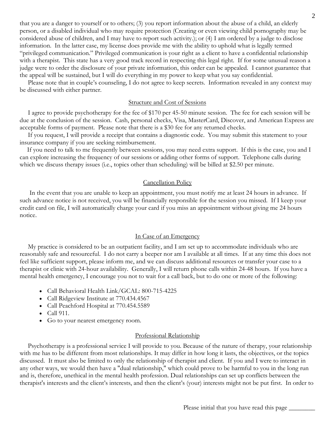that you are a danger to yourself or to others; (3) you report information about the abuse of a child, an elderly person, or a disabled individual who may require protection (Creating or even viewing child pornography may be considered abuse of children, and I may have to report such activity.); or (4) I am ordered by a judge to disclose information. In the latter case, my license does provide me with the ability to uphold what is legally termed "privileged communication." Privileged communication is your right as a client to have a confidential relationship with a therapist. This state has a very good track record in respecting this legal right. If for some unusual reason a judge were to order the disclosure of your private information, this order can be appealed. I cannot guarantee that the appeal will be sustained, but I will do everything in my power to keep what you say confidential.

 Please note that in couple's counseling, I do not agree to keep secrets. Information revealed in any context may be discussed with either partner.

# Structure and Cost of Sessions

 I agree to provide psychotherapy for the fee of \$170 per 45-50 minute session. The fee for each session will be due at the conclusion of the session. Cash, personal checks, Visa, MasterCard, Discover, and American Express are acceptable forms of payment. Please note that there is a \$30 fee for any returned checks.

 If you request, I will provide a receipt that contains a diagnostic code. You may submit this statement to your insurance company if you are seeking reimbursement.

If you need to talk to me frequently between sessions, you may need extra support. If this is the case, you and I can explore increasing the frequency of our sessions or adding other forms of support. Telephone calls during which we discuss therapy issues (i.e., topics other than scheduling) will be billed at \$2.50 per minute.

#### Cancellation Policy

 In the event that you are unable to keep an appointment, you must notify me at least 24 hours in advance. If such advance notice is not received, you will be financially responsible for the session you missed. If I keep your credit card on file, I will automatically charge your card if you miss an appointment without giving me 24 hours notice.

#### In Case of an Emergency

 My practice is considered to be an outpatient facility, and I am set up to accommodate individuals who are reasonably safe and resourceful. I do not carry a beeper nor am I available at all times. If at any time this does not feel like sufficient support, please inform me, and we can discuss additional resources or transfer your case to a therapist or clinic with 24-hour availability. Generally, I will return phone calls within 24-48 hours. If you have a mental health emergency, I encourage you not to wait for a call back, but to do one or more of the following:

- Call Behavioral Health Link/GCAL: 800-715-4225
- Call Ridgeview Institute at 770.434.4567
- Call Peachford Hospital at 770.454.5589
- Call 911.
- Go to your nearest emergency room.

#### Professional Relationship

 Psychotherapy is a professional service I will provide to you. Because of the nature of therapy, your relationship with me has to be different from most relationships. It may differ in how long it lasts, the objectives, or the topics discussed. It must also be limited to only the relationship of therapist and client. If you and I were to interact in any other ways, we would then have a "dual relationship," which could prove to be harmful to you in the long run and is, therefore, unethical in the mental health profession. Dual relationships can set up conflicts between the therapist's interests and the client's interests, and then the client's (your) interests might not be put first. In order to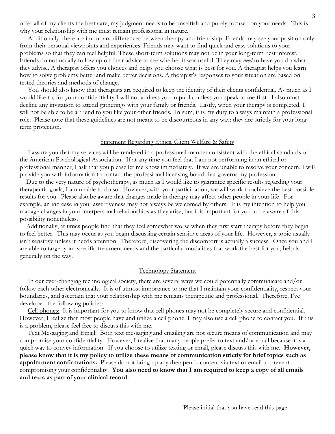offer all of my clients the best care, my judgment needs to be unselfish and purely focused on your needs. This is why your relationship with me must remain professional in nature.

 Additionally, there are important differences between therapy and friendship. Friends may see your position only from their personal viewpoints and experiences. Friends may want to find quick and easy solutions to your problems so that they can feel helpful. These short-term solutions may not be in your long-term best interest. Friends do not usually follow up on their advice to see whether it was useful. They may *need* to have you do what they advise. A therapist offers you choices and helps you choose what is best for you. A therapist helps you learn how to solve problems better and make better decisions. A therapist's responses to your situation are based on tested theories and methods of change.

 You should also know that therapists are required to keep the identity of their clients confidential. As much as I would like to, for your confidentiality I will not address you in public unless you speak to me first. I also must decline any invitation to attend gatherings with your family or friends. Lastly, when your therapy is completed, I will not be able to be a friend to you like your other friends. In sum, it is my duty to always maintain a professional role. Please note that these guidelines are not meant to be discourteous in any way; they are strictly for your longterm protection.

## Statement Regarding Ethics, Client Welfare & Safety

 I assure you that my services will be rendered in a professional manner consistent with the ethical standards of the American Psychological Association. If at any time you feel that I am not performing in an ethical or professional manner, I ask that you please let me know immediately. If we are unable to resolve your concern, I will provide you with information to contact the professional licensing board that governs my profession.

 Due to the very nature of psychotherapy, as much as I would like to guarantee specific results regarding your therapeutic goals, I am unable to do so. However, with your participation, we will work to achieve the best possible results for you. Please also be aware that changes made in therapy may affect other people in your life. For example, an increase in your assertiveness may not always be welcomed by others. It is my intention to help you manage changes in your interpersonal relationships as they arise, but it is important for you to be aware of this possibility nonetheless.

 Additionally, at times people find that they feel somewhat worse when they first start therapy before they begin to feel better. This may occur as you begin discussing certain sensitive areas of your life. However, a topic usually isn't sensitive unless it needs attention. Therefore, discovering the discomfort is actually a success. Once you and I are able to target your specific treatment needs and the particular modalities that work the best for you, help is generally on the way.

## Technology Statement

 In our ever-changing technological society, there are several ways we could potentially communicate and/or follow each other electronically. It is of utmost importance to me that I maintain your confidentiality, respect your boundaries, and ascertain that your relationship with me remains therapeutic and professional. Therefore, I've developed the following policies:

 Cell phones: It is important for you to know that cell phones may not be completely secure and confidential. However, I realize that most people have and utilize a cell phone. I may also use a cell phone to contact you. If this is a problem, please feel free to discuss this with me.

 Text Messaging and Email: Both text messaging and emailing are not secure means of communication and may compromise your confidentiality. However, I realize that many people prefer to text and/or email because it is a quick way to convey information. If you choose to utilize texting or email, please discuss this with me. **However, please know that it is my policy to utilize these means of communication strictly for brief topics such as appointment confirmations.** Please do not bring up any therapeutic content via text or email to prevent compromising your confidentiality. **You also need to know that I am required to keep a copy of all emails and texts as part of your clinical record.**